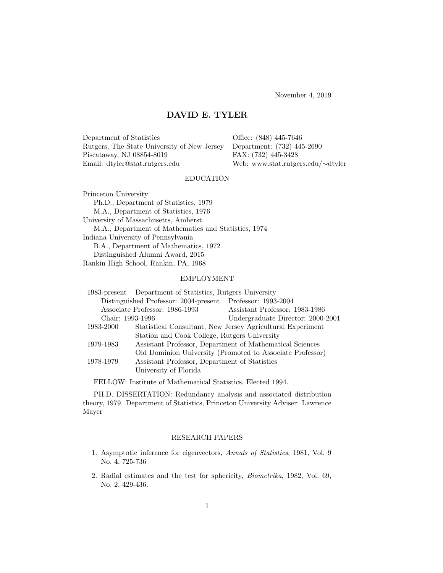November 4, 2019

# DAVID E. TYLER

Department of Statistics Office: (848) 445-7646 Rutgers, The State University of New Jersey Department: (732) 445-2690 Piscataway, NJ 08854-8019 FAX: (732) 445-3428 Email: dtyler@stat.rutgers.edu Web: www.stat.rutgers.edu/∼dtyler

# EDUCATION

Princeton University Ph.D., Department of Statistics, 1979 M.A., Department of Statistics, 1976 University of Massachusetts, Amherst M.A., Department of Mathematics and Statistics, 1974 Indiana University of Pennsylvania B.A., Department of Mathematics, 1972 Distinguished Alumni Award, 2015 Rankin High School, Rankin, PA, 1968

## EMPLOYMENT

|                                                            | 1983-present Department of Statistics, Rutgers University  |                                                           |
|------------------------------------------------------------|------------------------------------------------------------|-----------------------------------------------------------|
| Distinguished Professor: 2004-present Professor: 1993-2004 |                                                            |                                                           |
| Associate Professor: 1986-1993                             |                                                            | Assistant Professor: 1983-1986                            |
| Chair: 1993-1996                                           |                                                            | Undergraduate Director: 2000-2001                         |
| 1983-2000                                                  | Statistical Consultant, New Jersey Agricultural Experiment |                                                           |
|                                                            | Station and Cook College, Rutgers University               |                                                           |
| 1979-1983                                                  | Assistant Professor, Department of Mathematical Sciences   |                                                           |
|                                                            |                                                            | Old Dominion University (Promoted to Associate Professor) |
| 1978-1979                                                  | Assistant Professor, Department of Statistics              |                                                           |
|                                                            | University of Florida                                      |                                                           |
|                                                            |                                                            |                                                           |

FELLOW: Institute of Mathematical Statistics, Elected 1994.

PH.D. DISSERTATION: Redundancy analysis and associated distribution theory, 1979. Department of Statistics, Princeton University Adviser: Lawrence Mayer

## RESEARCH PAPERS

- 1. Asymptotic inference for eigenvectors, Annals of Statistics, 1981, Vol. 9 No. 4, 725-736
- 2. Radial estimates and the test for sphericity, Biometrika, 1982, Vol. 69, No. 2, 429-436.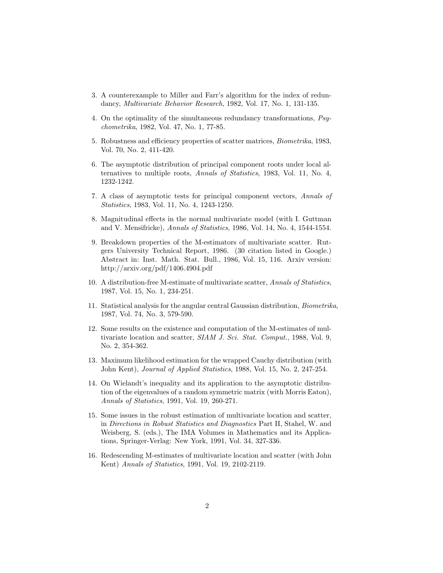- 3. A counterexample to Miller and Farr's algorithm for the index of redundancy, Multivariate Behavior Research, 1982, Vol. 17, No. 1, 131-135.
- 4. On the optimality of the simultaneous redundancy transformations, Psychometrika, 1982, Vol. 47, No. 1, 77-85.
- 5. Robustness and efficiency properties of scatter matrices, Biometrika, 1983, Vol. 70, No. 2, 411-420.
- 6. The asymptotic distribution of principal component roots under local alternatives to multiple roots, Annals of Statistics, 1983, Vol. 11, No. 4, 1232-1242.
- 7. A class of asymptotic tests for principal component vectors, Annals of Statistics, 1983, Vol. 11, No. 4, 1243-1250.
- 8. Magnitudinal effects in the normal multivariate model (with I. Guttman and V. Mensifricke), Annals of Statistics, 1986, Vol. 14, No. 4, 1544-1554.
- 9. Breakdown properties of the M-estimators of multivariate scatter. Rutgers University Technical Report, 1986. (30 citation listed in Google.) Abstract in: Inst. Math. Stat. Bull., 1986, Vol. 15, 116. Arxiv version: http://arxiv.org/pdf/1406.4904.pdf
- 10. A distribution-free M-estimate of multivariate scatter, Annals of Statistics, 1987, Vol. 15, No. 1, 234-251.
- 11. Statistical analysis for the angular central Gaussian distribution, Biometrika, 1987, Vol. 74, No. 3, 579-590.
- 12. Some results on the existence and computation of the M-estimates of multivariate location and scatter, SIAM J. Sci. Stat. Comput., 1988, Vol. 9, No. 2, 354-362.
- 13. Maximum likelihood estimation for the wrapped Cauchy distribution (with John Kent), Journal of Applied Statistics, 1988, Vol. 15, No. 2, 247-254.
- 14. On Wielandt's inequality and its application to the asymptotic distribution of the eigenvalues of a random symmetric matrix (with Morris Eaton), Annals of Statistics, 1991, Vol. 19, 260-271.
- 15. Some issues in the robust estimation of multivariate location and scatter, in Directions in Robust Statistics and Diagnostics Part II, Stahel, W. and Weisberg, S. (eds.), The IMA Volumes in Mathematics and its Applications, Springer-Verlag: New York, 1991, Vol. 34, 327-336.
- 16. Redescending M-estimates of multivariate location and scatter (with John Kent) Annals of Statistics, 1991, Vol. 19, 2102-2119.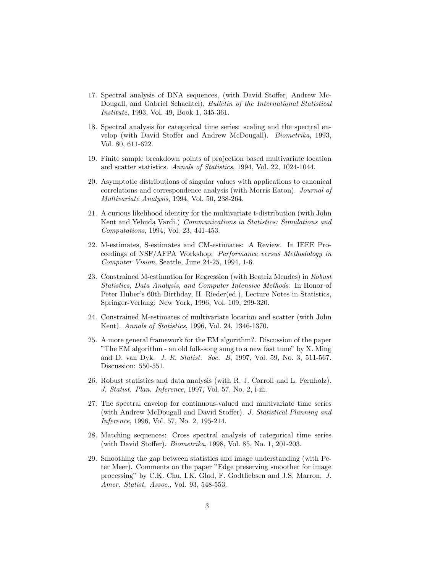- 17. Spectral analysis of DNA sequences, (with David Stoffer, Andrew Mc-Dougall, and Gabriel Schachtel), Bulletin of the International Statistical Institute, 1993, Vol. 49, Book 1, 345-361.
- 18. Spectral analysis for categorical time series: scaling and the spectral envelop (with David Stoffer and Andrew McDougall). Biometrika, 1993, Vol. 80, 611-622.
- 19. Finite sample breakdown points of projection based multivariate location and scatter statistics. Annals of Statistics, 1994, Vol. 22, 1024-1044.
- 20. Asymptotic distributions of singular values with applications to canonical correlations and correspondence analysis (with Morris Eaton). Journal of Multivariate Analysis, 1994, Vol. 50, 238-264.
- 21. A curious likelihood identity for the multivariate t-distribution (with John Kent and Yehuda Vardi.) Communications in Statistics: Simulations and Computations, 1994, Vol. 23, 441-453.
- 22. M-estimates, S-estimates and CM-estimates: A Review. In IEEE Proceedings of NSF/AFPA Workshop: Performance versus Methodology in Computer Vision, Seattle, June 24-25, 1994, 1-6.
- 23. Constrained M-estimation for Regression (with Beatriz Mendes) in Robust Statistics, Data Analysis, and Computer Intensive Methods: In Honor of Peter Huber's 60th Birthday, H. Rieder(ed.), Lecture Notes in Statistics, Springer-Verlang: New York, 1996, Vol. 109, 299-320.
- 24. Constrained M-estimates of multivariate location and scatter (with John Kent). Annals of Statistics, 1996, Vol. 24, 1346-1370.
- 25. A more general framework for the EM algorithm?. Discussion of the paper "The EM algorithm - an old folk-song sung to a new fast tune" by X. Ming and D. van Dyk. J. R. Statist. Soc. B, 1997, Vol. 59, No. 3, 511-567. Discussion: 550-551.
- 26. Robust statistics and data analysis (with R. J. Carroll and L. Fernholz). J. Statist. Plan. Inference, 1997, Vol. 57, No. 2, i-iii.
- 27. The spectral envelop for continuous-valued and multivariate time series (with Andrew McDougall and David Stoffer). J. Statistical Planning and Inference, 1996, Vol. 57, No. 2, 195-214.
- 28. Matching sequences: Cross spectral analysis of categorical time series (with David Stoffer). Biometrika, 1998, Vol. 85, No. 1, 201-203.
- 29. Smoothing the gap between statistics and image understanding (with Peter Meer). Comments on the paper "Edge preserving smoother for image processing" by C.K. Chu, I.K. Glad, F. Godtliebsen and J.S. Marron. J. Amer. Statist. Assoc., Vol. 93, 548-553.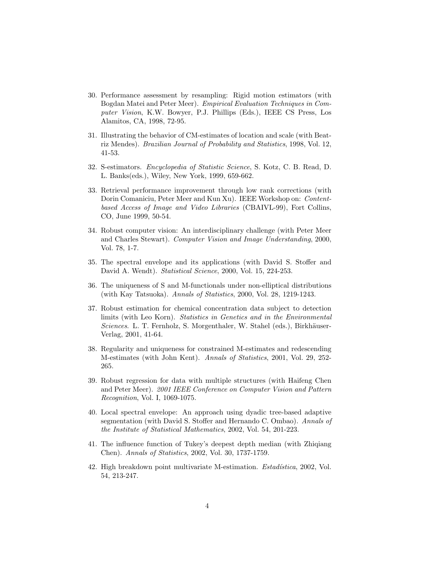- 30. Performance assessment by resampling: Rigid motion estimators (with Bogdan Matei and Peter Meer). Empirical Evaluation Techniques in Computer Vision, K.W. Bowyer, P.J. Phillips (Eds.), IEEE CS Press, Los Alamitos, CA, 1998, 72-95.
- 31. Illustrating the behavior of CM-estimates of location and scale (with Beatriz Mendes). Brazilian Journal of Probability and Statistics, 1998, Vol. 12, 41-53.
- 32. S-estimators. Encyclopedia of Statistic Science, S. Kotz, C. B. Read, D. L. Banks(eds.), Wiley, New York, 1999, 659-662.
- 33. Retrieval performance improvement through low rank corrections (with Dorin Comaniciu, Peter Meer and Kun Xu). IEEE Workshop on: Contentbased Access of Image and Video Libraries (CBAIVL-99), Fort Collins, CO, June 1999, 50-54.
- 34. Robust computer vision: An interdisciplinary challenge (with Peter Meer and Charles Stewart). Computer Vision and Image Understanding, 2000, Vol. 78, 1-7.
- 35. The spectral envelope and its applications (with David S. Stoffer and David A. Wendt). Statistical Science, 2000, Vol. 15, 224-253.
- 36. The uniqueness of S and M-functionals under non-elliptical distributions (with Kay Tatsuoka). Annals of Statistics, 2000, Vol. 28, 1219-1243.
- 37. Robust estimation for chemical concentration data subject to detection limits (with Leo Korn). Statistics in Genetics and in the Environmental Sciences. L. T. Fernholz, S. Morgenthaler, W. Stahel (eds.), Birkhäuser-Verlag, 2001, 41-64.
- 38. Regularity and uniqueness for constrained M-estimates and redescending M-estimates (with John Kent). Annals of Statistics, 2001, Vol. 29, 252- 265.
- 39. Robust regression for data with multiple structures (with Haifeng Chen and Peter Meer). 2001 IEEE Conference on Computer Vision and Pattern Recognition, Vol. I, 1069-1075.
- 40. Local spectral envelope: An approach using dyadic tree-based adaptive segmentation (with David S. Stoffer and Hernando C. Ombao). Annals of the Institute of Statistical Mathematics, 2002, Vol. 54, 201-223.
- 41. The influence function of Tukey's deepest depth median (with Zhiqiang Chen). Annals of Statistics, 2002, Vol. 30, 1737-1759.
- 42. High breakdown point multivariate M-estimation. *Estadística*, 2002, Vol. 54, 213-247.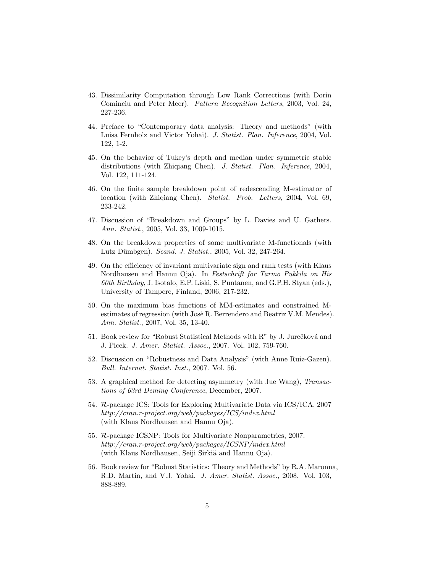- 43. Dissimilarity Computation through Low Rank Corrections (with Dorin Cominciu and Peter Meer). Pattern Recognition Letters, 2003, Vol. 24, 227-236.
- 44. Preface to "Contemporary data analysis: Theory and methods" (with Luisa Fernholz and Victor Yohai). J. Statist. Plan. Inference, 2004, Vol. 122, 1-2.
- 45. On the behavior of Tukey's depth and median under symmetric stable distributions (with Zhiqiang Chen). J. Statist. Plan. Inference, 2004, Vol. 122, 111-124.
- 46. On the finite sample breakdown point of redescending M-estimator of location (with Zhiqiang Chen). Statist. Prob. Letters, 2004, Vol. 69, 233-242.
- 47. Discussion of "Breakdown and Groups" by L. Davies and U. Gathers. Ann. Statist., 2005, Vol. 33, 1009-1015.
- 48. On the breakdown properties of some multivariate M-functionals (with Lutz Dümbgen). Scand. J. Statist., 2005, Vol. 32, 247-264.
- 49. On the efficiency of invariant multivariate sign and rank tests (with Klaus Nordhausen and Hannu Oja). In Festschrift for Tarmo Pukkila on His 60th Birthday, J. Isotalo, E.P. Liski, S. Puntanen, and G.P.H. Styan (eds.), University of Tampere, Finland, 2006, 217-232.
- 50. On the maximum bias functions of MM-estimates and constrained Mestimates of regression (with Josè R. Berrendero and Beatriz V.M. Mendes). Ann. Statist., 2007, Vol. 35, 13-40.
- 51. Book review for "Robust Statistical Methods with R" by J. Jurečková and J. Picek. J. Amer. Statist. Assoc., 2007. Vol. 102, 759-760.
- 52. Discussion on "Robustness and Data Analysis" (with Anne Ruiz-Gazen). Bull. Internat. Statist. Inst., 2007. Vol. 56.
- 53. A graphical method for detecting asymmetry (with Jue Wang), Transactions of 63rd Deming Conference, December, 2007.
- 54. R-package ICS: Tools for Exploring Multivariate Data via ICS/ICA, 2007 http://cran.r-project.org/web/packages/ICS/index.html (with Klaus Nordhausen and Hannu Oja).
- 55. R-package ICSNP: Tools for Multivariate Nonparametrics, 2007. http://cran.r-project.org/web/packages/ICSNP/index.html (with Klaus Nordhausen, Seiji Sirkiä and Hannu Oja).
- 56. Book review for "Robust Statistics: Theory and Methods" by R.A. Maronna, R.D. Martin, and V.J. Yohai. J. Amer. Statist. Assoc., 2008. Vol. 103, 888-889.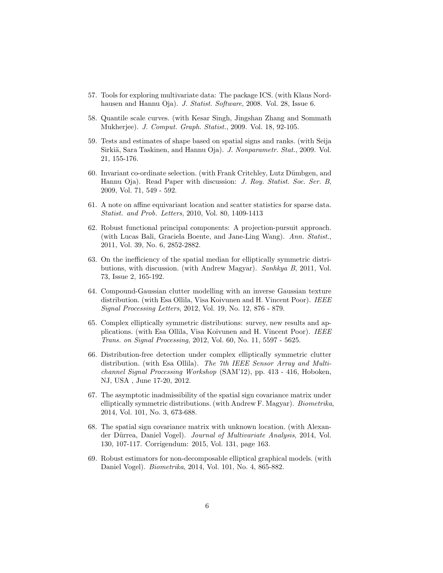- 57. Tools for exploring multivariate data: The package ICS. (with Klaus Nordhausen and Hannu Oja). J. Statist. Software, 2008. Vol. 28, Issue 6.
- 58. Quantile scale curves. (with Kesar Singh, Jingshan Zhang and Sommath Mukherjee). J. Comput. Graph. Statist., 2009. Vol. 18, 92-105.
- 59. Tests and estimates of shape based on spatial signs and ranks. (with Seija Sirkiä, Sara Taskinen, and Hannu Oja). J. Nonparametr. Stat., 2009. Vol. 21, 155-176.
- 60. Invariant co-ordinate selection. (with Frank Critchley, Lutz Dümbgen, and Hannu Oja). Read Paper with discussion: J. Roy. Statist. Soc. Ser. B, 2009, Vol. 71, 549 - 592.
- 61. A note on affine equivariant location and scatter statistics for sparse data. Statist. and Prob. Letters, 2010, Vol. 80, 1409-1413
- 62. Robust functional principal components: A projection-pursuit approach. (with Lucas Bali, Graciela Boente, and Jane-Ling Wang). Ann. Statist., 2011, Vol. 39, No. 6, 2852-2882.
- 63. On the inefficiency of the spatial median for elliptically symmetric distributions, with discussion. (with Andrew Magyar). Sanhkya B, 2011, Vol. 73, Issue 2, 165-192.
- 64. Compound-Gaussian clutter modelling with an inverse Gaussian texture distribution. (with Esa Ollila, Visa Koivunen and H. Vincent Poor). IEEE Signal Processing Letters, 2012, Vol. 19, No. 12, 876 - 879.
- 65. Complex elliptically symmetric distributions: survey, new results and applications. (with Esa Ollila, Visa Koivunen and H. Vincent Poor). IEEE Trans. on Signal Processing, 2012, Vol. 60, No. 11, 5597 - 5625.
- 66. Distribution-free detection under complex elliptically symmetric clutter distribution. (with Esa Ollila). The 7th IEEE Sensor Array and Multichannel Signal Processing Workshop (SAM'12), pp. 413 - 416, Hoboken, NJ, USA , June 17-20, 2012.
- 67. The asymptotic inadmissibility of the spatial sign covariance matrix under elliptically symmetric distributions. (with Andrew F. Magyar). Biometrika, 2014, Vol. 101, No. 3, 673-688.
- 68. The spatial sign covariance matrix with unknown location. (with Alexander Dürrea, Daniel Vogel). Journal of Multivariate Analysis, 2014, Vol. 130, 107-117. Corrigendum: 2015, Vol. 131, page 163.
- 69. Robust estimators for non-decomposable elliptical graphical models. (with Daniel Vogel). Biometrika, 2014, Vol. 101, No. 4, 865-882.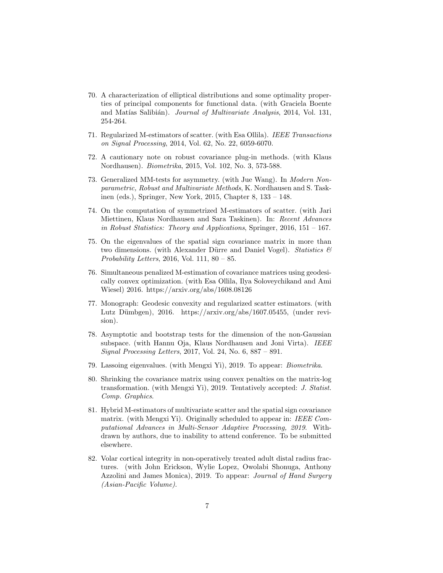- 70. A characterization of elliptical distributions and some optimality properties of principal components for functional data. (with Graciela Boente and Matías Salibián). Journal of Multivariate Analysis, 2014, Vol. 131, 254-264.
- 71. Regularized M-estimators of scatter. (with Esa Ollila). IEEE Transactions on Signal Processing, 2014, Vol. 62, No. 22, 6059-6070.
- 72. A cautionary note on robust covariance plug-in methods. (with Klaus Nordhausen). Biometrika, 2015, Vol. 102, No. 3, 573-588.
- 73. Generalized MM-tests for asymmetry. (with Jue Wang). In Modern Nonparametric, Robust and Multivariate Methods, K. Nordhausen and S. Taskinen (eds.), Springer, New York, 2015, Chapter 8, 133 – 148.
- 74. On the computation of symmetrized M-estimators of scatter. (with Jari Miettinen, Klaus Nordhausen and Sara Taskinen). In: Recent Advances in Robust Statistics: Theory and Applications, Springer, 2016,  $151 - 167$ .
- 75. On the eigenvalues of the spatial sign covariance matrix in more than two dimensions. (with Alexander Dürre and Daniel Vogel). Statistics  $\mathcal{C}$ Probability Letters, 2016, Vol. 111, 80 – 85.
- 76. Simultaneous penalized M-estimation of covariance matrices using geodesically convex optimization. (with Esa Ollila, Ilya Soloveychikand and Ami Wiesel) 2016. https://arxiv.org/abs/1608.08126
- 77. Monograph: Geodesic convexity and regularized scatter estimators. (with Lutz Dümbgen), 2016. https://arxiv.org/abs/1607.05455, (under revision).
- 78. Asymptotic and bootstrap tests for the dimension of the non-Gaussian subspace. (with Hannu Oja, Klaus Nordhausen and Joni Virta). IEEE Signal Processing Letters, 2017, Vol. 24, No. 6, 887 – 891.
- 79. Lassoing eigenvalues. (with Mengxi Yi), 2019. To appear: Biometrika.
- 80. Shrinking the covariance matrix using convex penalties on the matrix-log transformation. (with Mengxi Yi), 2019. Tentatively accepted: J. Statist. Comp. Graphics.
- 81. Hybrid M-estimators of multivariate scatter and the spatial sign covariance matrix. (with Mengxi Yi). Originally scheduled to appear in: IEEE Computational Advances in Multi-Sensor Adaptive Processing, 2019. Withdrawn by authors, due to inability to attend conference. To be submitted elsewhere.
- 82. Volar cortical integrity in non-operatively treated adult distal radius fractures. (with John Erickson, Wylie Lopez, Owolabi Shonuga, Anthony Azzolini and James Monica), 2019. To appear: Journal of Hand Surgery (Asian-Pacific Volume).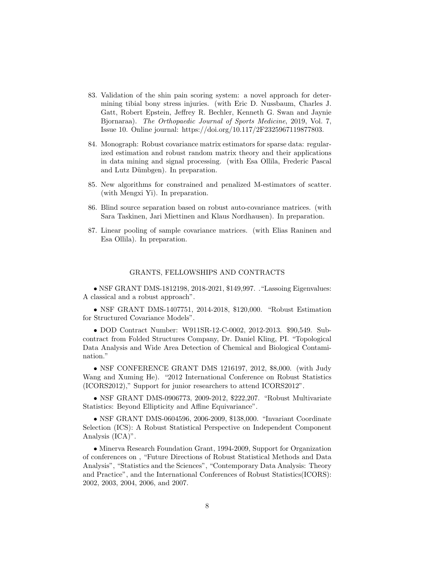- 83. Validation of the shin pain scoring system: a novel approach for determining tibial bony stress injuries. (with Eric D. Nussbaum, Charles J. Gatt, Robert Epstein, Jeffrey R. Bechler, Kenneth G. Swan and Jaynie Bjornaraa). The Orthopaedic Journal of Sports Medicine, 2019, Vol. 7, Issue 10. Online journal: https://doi.org/10.117/2F2325967119877803.
- 84. Monograph: Robust covariance matrix estimators for sparse data: regularized estimation and robust random matrix theory and their applications in data mining and signal processing. (with Esa Ollila, Frederic Pascal and Lutz Dümbgen). In preparation.
- 85. New algorithms for constrained and penalized M-estimators of scatter. (with Mengxi Yi). In preparation.
- 86. Blind source separation based on robust auto-covariance matrices. (with Sara Taskinen, Jari Miettinen and Klaus Nordhausen). In preparation.
- 87. Linear pooling of sample covariance matrices. (with Elias Raninen and Esa Ollila). In preparation.

#### GRANTS, FELLOWSHIPS AND CONTRACTS

• NSF GRANT DMS-1812198, 2018-2021, \$149,997. ."Lassoing Eigenvalues: A classical and a robust approach".

• NSF GRANT DMS-1407751, 2014-2018, \$120,000. "Robust Estimation for Structured Covariance Models".

• DOD Contract Number: W911SR-12-C-0002, 2012-2013. \$90,549. Subcontract from Folded Structures Company, Dr. Daniel Kling, PI. "Topological Data Analysis and Wide Area Detection of Chemical and Biological Contamination."

• NSF CONFERENCE GRANT DMS 1216197, 2012, \$8,000. (with Judy Wang and Xuming He). "2012 International Conference on Robust Statistics (ICORS2012)," Support for junior researchers to attend ICORS2012".

• NSF GRANT DMS-0906773, 2009-2012, \$222,207. "Robust Multivariate Statistics: Beyond Ellipticity and Affine Equivariance".

• NSF GRANT DMS-0604596, 2006-2009, \$138,000. "Invariant Coordinate Selection (ICS): A Robust Statistical Perspective on Independent Component Analysis (ICA)".

• Minerva Research Foundation Grant, 1994-2009, Support for Organization of conferences on , "Future Directions of Robust Statistical Methods and Data Analysis", "Statistics and the Sciences", "Contemporary Data Analysis: Theory and Practice", and the International Conferences of Robust Statistics(ICORS): 2002, 2003, 2004, 2006, and 2007.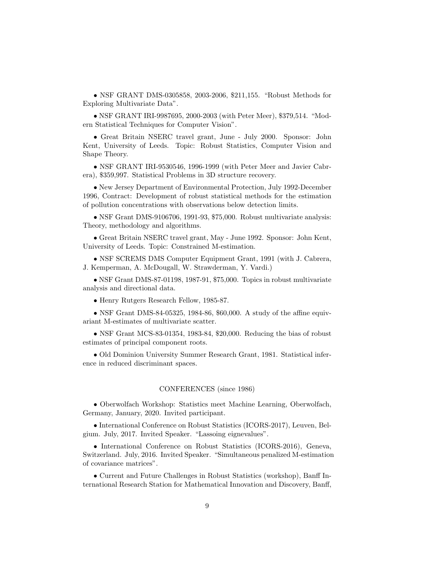• NSF GRANT DMS-0305858, 2003-2006, \$211,155. "Robust Methods for Exploring Multivariate Data".

• NSF GRANT IRI-9987695, 2000-2003 (with Peter Meer), \$379,514. "Modern Statistical Techniques for Computer Vision".

• Great Britain NSERC travel grant, June - July 2000. Sponsor: John Kent, University of Leeds. Topic: Robust Statistics, Computer Vision and Shape Theory.

• NSF GRANT IRI-9530546, 1996-1999 (with Peter Meer and Javier Cabrera), \$359,997. Statistical Problems in 3D structure recovery.

• New Jersey Department of Environmental Protection, July 1992-December 1996, Contract: Development of robust statistical methods for the estimation of pollution concentrations with observations below detection limits.

• NSF Grant DMS-9106706, 1991-93, \$75,000. Robust multivariate analysis: Theory, methodology and algorithms.

• Great Britain NSERC travel grant, May - June 1992. Sponsor: John Kent, University of Leeds. Topic: Constrained M-estimation.

• NSF SCREMS DMS Computer Equipment Grant, 1991 (with J. Cabrera, J. Kemperman, A. McDougall, W. Strawderman, Y. Vardi.)

• NSF Grant DMS-87-01198, 1987-91, \$75,000. Topics in robust multivariate analysis and directional data.

• Henry Rutgers Research Fellow, 1985-87.

• NSF Grant DMS-84-05325, 1984-86, \$60,000. A study of the affine equivariant M-estimates of multivariate scatter.

• NSF Grant MCS-83-01354, 1983-84, \$20,000. Reducing the bias of robust estimates of principal component roots.

• Old Dominion University Summer Research Grant, 1981. Statistical inference in reduced discriminant spaces.

### CONFERENCES (since 1986)

• Oberwolfach Workshop: Statistics meet Machine Learning, Oberwolfach, Germany, January, 2020. Invited participant.

• International Conference on Robust Statistics (ICORS-2017), Leuven, Belgium. July, 2017. Invited Speaker. "Lassoing eignevalues".

• International Conference on Robust Statistics (ICORS-2016), Geneva, Switzerland. July, 2016. Invited Speaker. "Simultaneous penalized M-estimation of covariance matrices".

• Current and Future Challenges in Robust Statistics (workshop), Banff International Research Station for Mathematical Innovation and Discovery, Banff,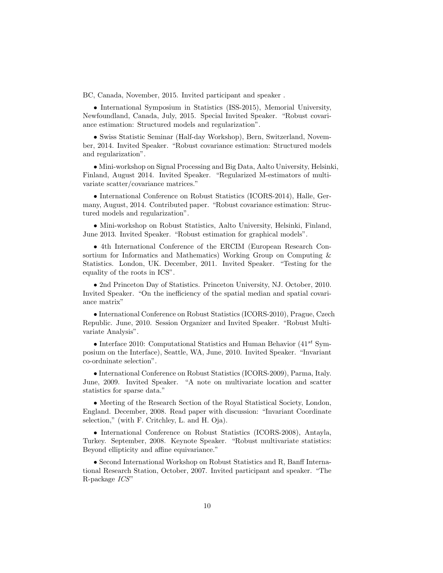BC, Canada, November, 2015. Invited participant and speaker .

• International Symposium in Statistics (ISS-2015), Memorial University, Newfoundland, Canada, July, 2015. Special Invited Speaker. "Robust covariance estimation: Structured models and regularization".

• Swiss Statistic Seminar (Half-day Workshop), Bern, Switzerland, November, 2014. Invited Speaker. "Robust covariance estimation: Structured models and regularization".

• Mini-workshop on Signal Processing and Big Data, Aalto University, Helsinki, Finland, August 2014. Invited Speaker. "Regularized M-estimators of multivariate scatter/covariance matrices."

• International Conference on Robust Statistics (ICORS-2014), Halle, Germany, August, 2014. Contributed paper. "Robust covariance estimation: Structured models and regularization".

• Mini-workshop on Robust Statistics, Aalto University, Helsinki, Finland, June 2013. Invited Speaker. "Robust estimation for graphical models".

• 4th International Conference of the ERCIM (European Research Consortium for Informatics and Mathematics) Working Group on Computing & Statistics. London, UK. December, 2011. Invited Speaker. "Testing for the equality of the roots in ICS".

• 2nd Princeton Day of Statistics. Princeton University, NJ. October, 2010. Invited Speaker. "On the inefficiency of the spatial median and spatial covariance matrix"

• International Conference on Robust Statistics (ICORS-2010), Prague, Czech Republic. June, 2010. Session Organizer and Invited Speaker. "Robust Multivariate Analysis".

• Interface 2010: Computational Statistics and Human Behavior  $(41^{st}$  Symposium on the Interface), Seattle, WA, June, 2010. Invited Speaker. "Invariant co-ordninate selection".

• International Conference on Robust Statistics (ICORS-2009), Parma, Italy. June, 2009. Invited Speaker. "A note on multivariate location and scatter statistics for sparse data."

• Meeting of the Research Section of the Royal Statistical Society, London, England. December, 2008. Read paper with discussion: "Invariant Coordinate selection," (with F. Critchley, L. and H. Oja).

• International Conference on Robust Statistics (ICORS-2008), Antayla, Turkey. September, 2008. Keynote Speaker. "Robust multivariate statistics: Beyond ellipticity and affine equivariance."

• Second International Workshop on Robust Statistics and R, Banff International Research Station, October, 2007. Invited participant and speaker. "The R-package ICS"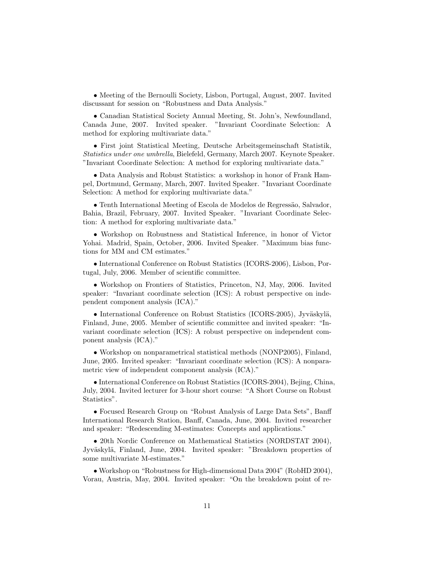• Meeting of the Bernoulli Society, Lisbon, Portugal, August, 2007. Invited discussant for session on "Robustness and Data Analysis."

• Canadian Statistical Society Annual Meeting, St. John's, Newfoundland, Canada June, 2007. Invited speaker. "Invariant Coordinate Selection: A method for exploring multivariate data."

• First joint Statistical Meeting, Deutsche Arbeitsgemeinschaft Statistik, Statistics under one umbrella, Bielefeld, Germany, March 2007. Keynote Speaker. "Invariant Coordinate Selection: A method for exploring multivariate data."

• Data Analysis and Robust Statistics: a workshop in honor of Frank Hampel, Dortmund, Germany, March, 2007. Invited Speaker. "Invariant Coordinate Selection: A method for exploring multivariate data."

• Tenth International Meeting of Escola de Modelos de Regressão, Salvador, Bahia, Brazil, February, 2007. Invited Speaker. "Invariant Coordinate Selection: A method for exploring multivariate data."

• Workshop on Robustness and Statistical Inference, in honor of Victor Yohai. Madrid, Spain, October, 2006. Invited Speaker. "Maximum bias functions for MM and CM estimates."

• International Conference on Robust Statistics (ICORS-2006), Lisbon, Portugal, July, 2006. Member of scientific committee.

• Workshop on Frontiers of Statistics, Princeton, NJ, May, 2006. Invited speaker: "Invariant coordinate selection (ICS): A robust perspective on independent component analysis (ICA)."

• International Conference on Robust Statistics (ICORS-2005), Jyväskylä, Finland, June, 2005. Member of scientific committee and invited speaker: "Invariant coordinate selection (ICS): A robust perspective on independent component analysis (ICA)."

• Workshop on nonparametrical statistical methods (NONP2005), Finland, June, 2005. Invited speaker: "Invariant coordinate selection (ICS): A nonparametric view of independent component analysis (ICA)."

• International Conference on Robust Statistics (ICORS-2004), Bejing, China, July, 2004. Invited lecturer for 3-hour short course: "A Short Course on Robust Statistics".

• Focused Research Group on "Robust Analysis of Large Data Sets", Banff International Research Station, Banff, Canada, June, 2004. Invited researcher and speaker: "Redescending M-estimates: Concepts and applications."

• 20th Nordic Conference on Mathematical Statistics (NORDSTAT 2004), Jyväskylä, Finland, June, 2004. Invited speaker: "Breakdown properties of some multivariate M-estimates."

• Workshop on "Robustness for High-dimensional Data 2004" (RobHD 2004), Vorau, Austria, May, 2004. Invited speaker: "On the breakdown point of re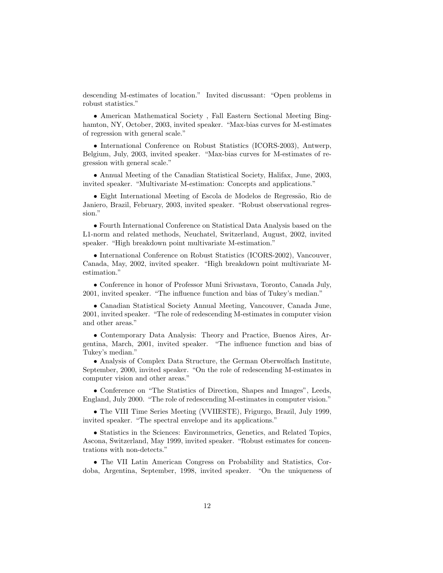descending M-estimates of location." Invited discussant: "Open problems in robust statistics."

• American Mathematical Society , Fall Eastern Sectional Meeting Binghamton, NY, October, 2003, invited speaker. "Max-bias curves for M-estimates of regression with general scale."

• International Conference on Robust Statistics (ICORS-2003), Antwerp, Belgium, July, 2003, invited speaker. "Max-bias curves for M-estimates of regression with general scale."

• Annual Meeting of the Canadian Statistical Society, Halifax, June, 2003, invited speaker. "Multivariate M-estimation: Concepts and applications."

• Eight International Meeting of Escola de Modelos de Regressão, Rio de Janiero, Brazil, February, 2003, invited speaker. "Robust observational regression."

• Fourth International Conference on Statistical Data Analysis based on the L1-norm and related methods, Neuchatel, Switzerland, August, 2002, invited speaker. "High breakdown point multivariate M-estimation."

• International Conference on Robust Statistics (ICORS-2002), Vancouver, Canada, May, 2002, invited speaker. "High breakdown point multivariate Mestimation."

• Conference in honor of Professor Muni Srivastava, Toronto, Canada July, 2001, invited speaker. "The influence function and bias of Tukey's median."

• Canadian Statistical Society Annual Meeting, Vancouver, Canada June, 2001, invited speaker. "The role of redescending M-estimates in computer vision and other areas."

• Contemporary Data Analysis: Theory and Practice, Buenos Aires, Argentina, March, 2001, invited speaker. "The influence function and bias of Tukey's median."

• Analysis of Complex Data Structure, the German Oberwolfach Institute, September, 2000, invited speaker. "On the role of redescending M-estimates in computer vision and other areas."

• Conference on "The Statistics of Direction, Shapes and Images", Leeds, England, July 2000. "The role of redescending M-estimates in computer vision."

• The VIII Time Series Meeting (VVIIESTE), Frigurgo, Brazil, July 1999, invited speaker. "The spectral envelope and its applications."

• Statistics in the Sciences: Environmetrics, Genetics, and Related Topics, Ascona, Switzerland, May 1999, invited speaker. "Robust estimates for concentrations with non-detects."

• The VII Latin American Congress on Probability and Statistics, Cordoba, Argentina, September, 1998, invited speaker. "On the uniqueness of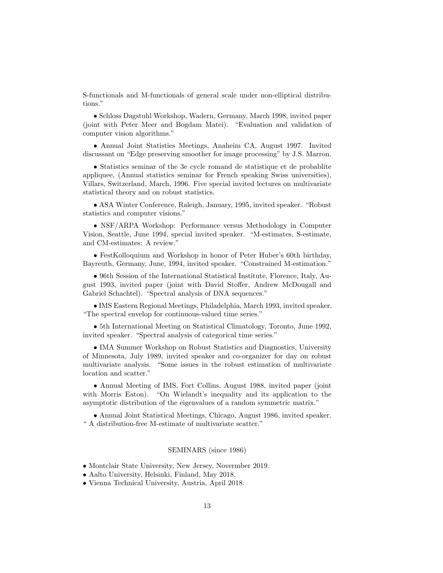S-functionals and M-functionals of general scale under non-elliptical distributions."

• Schloss Dagstuhl Workshop, Wadern, Germany, March 1998, invited paper (joint with Peter Meer and Bogdam Matei). "Evaluation and validation of computer vision algorithms."

• Annual Joint Statistics Meetings, Anaheim CA, August 1997. Invited discussant on "Edge preserving smoother for image processing" by J.S. Marron.

• Statistics seminar of the 3e cycle romand de statistique et de probablite appliquee, (Annual statistics seminar for French speaking Swiss universities), Villars, Switzerland, March, 1996. Five special invited lectures on multivariate statistical theory and on robust statistics.

• ASA Winter Conference, Raleigh, January, 1995, invited speaker. "Robust statistics and computer visions."

• NSF/ARPA Workshop: Performance versus Methodology in Computer Vision, Seattle, June 1994, special invited speaker. "M-estimates, S-estimate, and CM-estimates: A review."

• FestKolloquium and Workshop in honor of Peter Huber's 60th birthday, Bayreuth, Germany, June, 1994, invited speaker. "Constrained M-estimation."

• 96th Session of the International Statistical Institute, Florence, Italy, August 1993, invited paper (joint with David Stoffer, Andrew McDougall and Gabriel Schachtel). "Spectral analysis of DNA sequences."

• IMS Eastern Regional Meetings, Philadelphia, March 1993, invited speaker. "The spectral envelop for continuous-valued time series."

• 5th International Meeting on Statistical Climatology, Toronto, June 1992, invited speaker. "Spectral analysis of categorical time series."

• IMA Summer Workshop on Robust Statistics and Diagnostics, University of Minnesota, July 1989, invited speaker and co-organizer for day on robust multivariate analysis. "Some issues in the robust estimation of multivariate location and scatter."

• Annual Meeting of IMS, Fort Collins, August 1988, invited paper (joint with Morris Eaton). "On Wielandt's inequality and its application to the asymptotic distribution of the eigenvalues of a random symmetric matrix."

• Annual Joint Statistical Meetings, Chicago, August 1986, invited speaker. " A distribution-free M-estimate of multivariate scatter."

# SEMINARS (since 1986)

• Montclair State University, New Jersey, Novermber 2019.

- Aalto University, Helsinki, Finland, May 2018.
- Vienna Technical University, Austria, April 2018.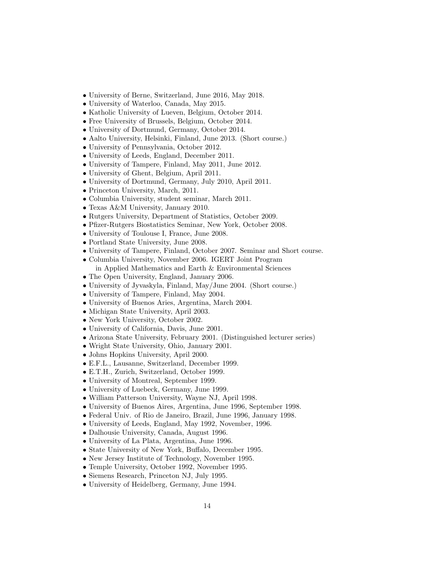- University of Berne, Switzerland, June 2016, May 2018.
- University of Waterloo, Canada, May 2015.
- Katholic University of Lueven, Belgium, October 2014.
- Free University of Brussels, Belgium, October 2014.
- University of Dortmund, Germany, October 2014.
- Aalto University, Helsinki, Finland, June 2013. (Short course.)
- University of Pennsylvania, October 2012.
- University of Leeds, England, December 2011.
- University of Tampere, Finland, May 2011, June 2012.
- University of Ghent, Belgium, April 2011.
- University of Dortmund, Germany, July 2010, April 2011.
- Princeton University, March, 2011.
- Columbia University, student seminar, March 2011.
- Texas A&M University, January 2010.
- Rutgers University, Department of Statistics, October 2009.
- Pfizer-Rutgers Biostatistics Seminar, New York, October 2008.
- University of Toulouse I, France, June 2008.
- Portland State University, June 2008.
- University of Tampere, Finland, October 2007. Seminar and Short course.
- Columbia University, November 2006. IGERT Joint Program in Applied Mathematics and Earth & Environmental Sciences
- The Open University, England, January 2006.
- University of Jyvaskyla, Finland, May/June 2004. (Short course.)
- University of Tampere, Finland, May 2004.
- University of Buenos Aries, Argentina, March 2004.
- Michigan State University, April 2003.
- New York University, October 2002.
- University of California, Davis, June 2001.
- Arizona State University, February 2001. (Distinguished lecturer series)
- Wright State University, Ohio, January 2001.
- Johns Hopkins University, April 2000.
- E.F.L., Lausanne, Switzerland, December 1999.
- E.T.H., Zurich, Switzerland, October 1999.
- University of Montreal, September 1999.
- University of Luebeck, Germany, June 1999.
- William Patterson University, Wayne NJ, April 1998.
- University of Buenos Aires, Argentina, June 1996, September 1998.
- Federal Univ. of Rio de Janeiro, Brazil, June 1996, January 1998.
- University of Leeds, England, May 1992, November, 1996.
- Dalhousie University, Canada, August 1996.
- University of La Plata, Argentina, June 1996.
- State University of New York, Buffalo, December 1995.
- New Jersey Institute of Technology, November 1995.
- Temple University, October 1992, November 1995.
- Siemens Research, Princeton NJ, July 1995.
- University of Heidelberg, Germany, June 1994.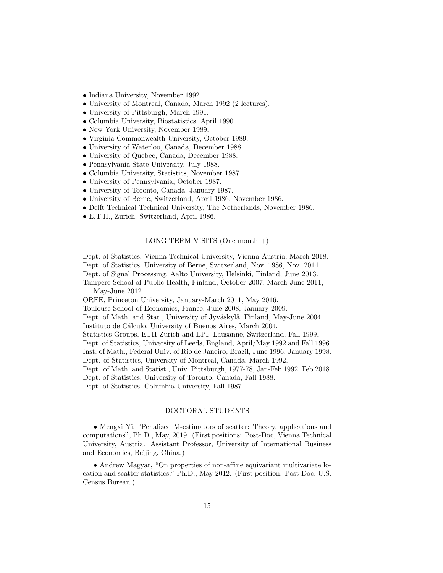- Indiana University, November 1992.
- University of Montreal, Canada, March 1992 (2 lectures).
- University of Pittsburgh, March 1991.
- Columbia University, Biostatistics, April 1990.
- New York University, November 1989.
- Virginia Commonwealth University, October 1989.
- University of Waterloo, Canada, December 1988.
- University of Quebec, Canada, December 1988.
- Pennsylvania State University, July 1988.
- Columbia University, Statistics, November 1987.
- University of Pennsylvania, October 1987.
- University of Toronto, Canada, January 1987.
- University of Berne, Switzerland, April 1986, November 1986.
- Delft Technical Technical University, The Netherlands, November 1986.
- E.T.H., Zurich, Switzerland, April 1986.

# LONG TERM VISITS (One month  $+)$

Dept. of Statistics, Vienna Technical University, Vienna Austria, March 2018. Dept. of Statistics, University of Berne, Switzerland, Nov. 1986, Nov. 2014. Dept. of Signal Processing, Aalto University, Helsinki, Finland, June 2013. Tampere School of Public Health, Finland, October 2007, March-June 2011, May-June 2012.

ORFE, Princeton University, January-March 2011, May 2016. Toulouse School of Economics, France, June 2008, January 2009. Dept. of Math. and Stat., University of Jyväskylä, Finland, May-June 2004. Instituto de Cálculo, University of Buenos Aires, March 2004. Statistics Groups, ETH-Zurich and EPF-Lausanne, Switzerland, Fall 1999. Dept. of Statistics, University of Leeds, England, April/May 1992 and Fall 1996. Inst. of Math., Federal Univ. of Rio de Janeiro, Brazil, June 1996, January 1998. Dept. of Statistics, University of Montreal, Canada, March 1992. Dept. of Math. and Statist., Univ. Pittsburgh, 1977-78, Jan-Feb 1992, Feb 2018. Dept. of Statistics, University of Toronto, Canada, Fall 1988. Dept. of Statistics, Columbia University, Fall 1987.

#### DOCTORAL STUDENTS

• Mengxi Yi, "Penalized M-estimators of scatter: Theory, applications and computations", Ph.D., May, 2019. (First positions: Post-Doc, Vienna Technical University, Austria. Assistant Professor, University of International Business and Economics, Beijing, China.)

• Andrew Magyar, "On properties of non-affine equivariant multivariate location and scatter statistics," Ph.D., May 2012. (First position: Post-Doc, U.S. Census Bureau.)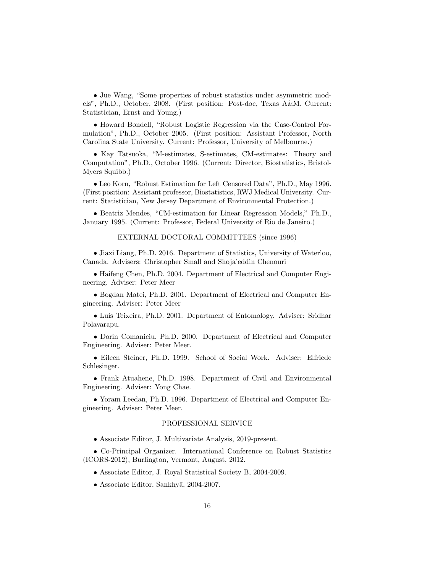• Jue Wang, "Some properties of robust statistics under asymmetric models", Ph.D., October, 2008. (First position: Post-doc, Texas A&M. Current: Statistician, Ernst and Young.)

• Howard Bondell, "Robust Logistic Regression via the Case-Control Formulation", Ph.D., October 2005. (First position: Assistant Professor, North Carolina State University. Current: Professor, University of Melbourne.)

• Kay Tatsuoka, "M-estimates, S-estimates, CM-estimates: Theory and Computation", Ph.D., October 1996. (Current: Director, Biostatistics, Bristol-Myers Squibb.)

• Leo Korn, "Robust Estimation for Left Censored Data", Ph.D., May 1996. (First position: Assistant professor, Biostatistics, RWJ Medical University. Current: Statistician, New Jersey Department of Environmental Protection.)

• Beatriz Mendes, "CM-estimation for Linear Regression Models," Ph.D., January 1995. (Current: Professor, Federal University of Rio de Janeiro.)

#### EXTERNAL DOCTORAL COMMITTEES (since 1996)

• Jiaxi Liang, Ph.D. 2016. Department of Statistics, University of Waterloo, Canada. Advisers: Christopher Small and Shoja'eddin Chenouri

• Haifeng Chen, Ph.D. 2004. Department of Electrical and Computer Engineering. Adviser: Peter Meer

• Bogdan Matei, Ph.D. 2001. Department of Electrical and Computer Engineering. Adviser: Peter Meer

• Luis Teixeira, Ph.D. 2001. Department of Entomology. Adviser: Sridhar Polavarapu.

• Dorin Comaniciu, Ph.D. 2000. Department of Electrical and Computer Engineering. Adviser: Peter Meer.

• Eileen Steiner, Ph.D. 1999. School of Social Work. Adviser: Elfriede Schlesinger.

• Frank Atuahene, Ph.D. 1998. Department of Civil and Environmental Engineering. Adviser: Yong Chae.

• Yoram Leedan, Ph.D. 1996. Department of Electrical and Computer Engineering. Adviser: Peter Meer.

#### PROFESSIONAL SERVICE

• Associate Editor, J. Multivariate Analysis, 2019-present.

• Co-Principal Organizer. International Conference on Robust Statistics (ICORS-2012), Burlington, Vermont, August, 2012.

- Associate Editor, J. Royal Statistical Society B, 2004-2009.
- Associate Editor, Sankhyā, 2004-2007.